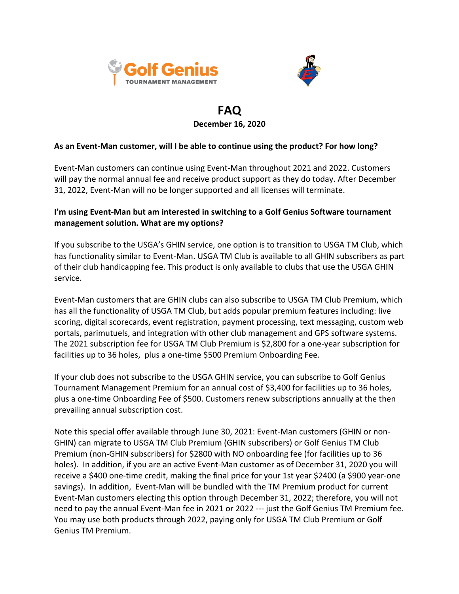



# **FAQ December 16, 2020**

# **As an Event-Man customer, will I be able to continue using the product? For how long?**

Event-Man customers can continue using Event-Man throughout 2021 and 2022. Customers will pay the normal annual fee and receive product support as they do today. After December 31, 2022, Event-Man will no be longer supported and all licenses will terminate.

# **I'm using Event-Man but am interested in switching to a Golf Genius Software tournament management solution. What are my options?**

If you subscribe to the USGA's GHIN service, one option is to transition to USGA TM Club, which has functionality similar to Event-Man. USGA TM Club is available to all GHIN subscribers as part of their club handicapping fee. This product is only available to clubs that use the USGA GHIN service.

Event-Man customers that are GHIN clubs can also subscribe to USGA TM Club Premium, which has all the functionality of USGA TM Club, but adds popular premium features including: live scoring, digital scorecards, event registration, payment processing, text messaging, custom web portals, parimutuels, and integration with other club management and GPS software systems. The 2021 subscription fee for USGA TM Club Premium is \$2,800 for a one-year subscription for facilities up to 36 holes, plus a one-time \$500 Premium Onboarding Fee.

If your club does not subscribe to the USGA GHIN service, you can subscribe to Golf Genius Tournament Management Premium for an annual cost of \$3,400 for facilities up to 36 holes, plus a one-time Onboarding Fee of \$500. Customers renew subscriptions annually at the then prevailing annual subscription cost.

Note this special offer available through June 30, 2021: Event-Man customers (GHIN or non-GHIN) can migrate to USGA TM Club Premium (GHIN subscribers) or Golf Genius TM Club Premium (non-GHIN subscribers) for \$2800 with NO onboarding fee (for facilities up to 36 holes). In addition, if you are an active Event-Man customer as of December 31, 2020 you will receive a \$400 one-time credit, making the final price for your 1st year \$2400 (a \$900 year-one savings). In addition, Event-Man will be bundled with the TM Premium product for current Event-Man customers electing this option through December 31, 2022; therefore, you will not need to pay the annual Event-Man fee in 2021 or 2022 --- just the Golf Genius TM Premium fee. You may use both products through 2022, paying only for USGA TM Club Premium or Golf Genius TM Premium.